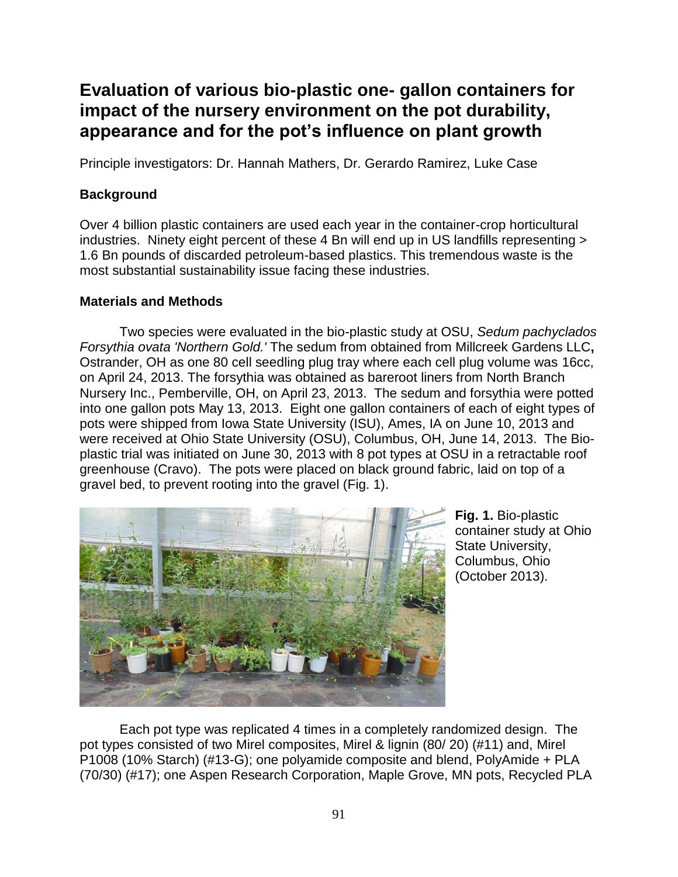## **Evaluation of various bio-plastic one- gallon containers for impact of the nursery environment on the pot durability, appearance and for the pot's influence on plant growth**

Principle investigators: Dr. Hannah Mathers, Dr. Gerardo Ramirez, Luke Case

## **Background**

Over 4 billion plastic containers are used each year in the container-crop horticultural industries. Ninety eight percent of these 4 Bn will end up in US landfills representing > 1.6 Bn pounds of discarded petroleum-based plastics. This tremendous waste is the most substantial sustainability issue facing these industries.

## **Materials and Methods**

Two species were evaluated in the bio-plastic study at OSU, *Sedum pachyclados Forsythia ovata 'Northern Gold.'* The sedum from obtained from Millcreek Gardens LLC**,**  Ostrander, OH as one 80 cell seedling plug tray where each cell plug volume was 16cc, on April 24, 2013. The forsythia was obtained as bareroot liners from North Branch Nursery Inc., Pemberville, OH, on April 23, 2013. The sedum and forsythia were potted into one gallon pots May 13, 2013. Eight one gallon containers of each of eight types of pots were shipped from Iowa State University (ISU), Ames, IA on June 10, 2013 and were received at Ohio State University (OSU), Columbus, OH, June 14, 2013. The Bioplastic trial was initiated on June 30, 2013 with 8 pot types at OSU in a retractable roof greenhouse (Cravo). The pots were placed on black ground fabric, laid on top of a gravel bed, to prevent rooting into the gravel (Fig. 1).



**Fig. 1.** Bio-plastic container study at Ohio State University, Columbus, Ohio (October 2013).

Each pot type was replicated 4 times in a completely randomized design. The pot types consisted of two Mirel composites, Mirel & lignin (80/ 20) (#11) and, Mirel P1008 (10% Starch) (#13-G); one polyamide composite and blend, PolyAmide + PLA (70/30) (#17); one Aspen Research Corporation, Maple Grove, MN pots, Recycled PLA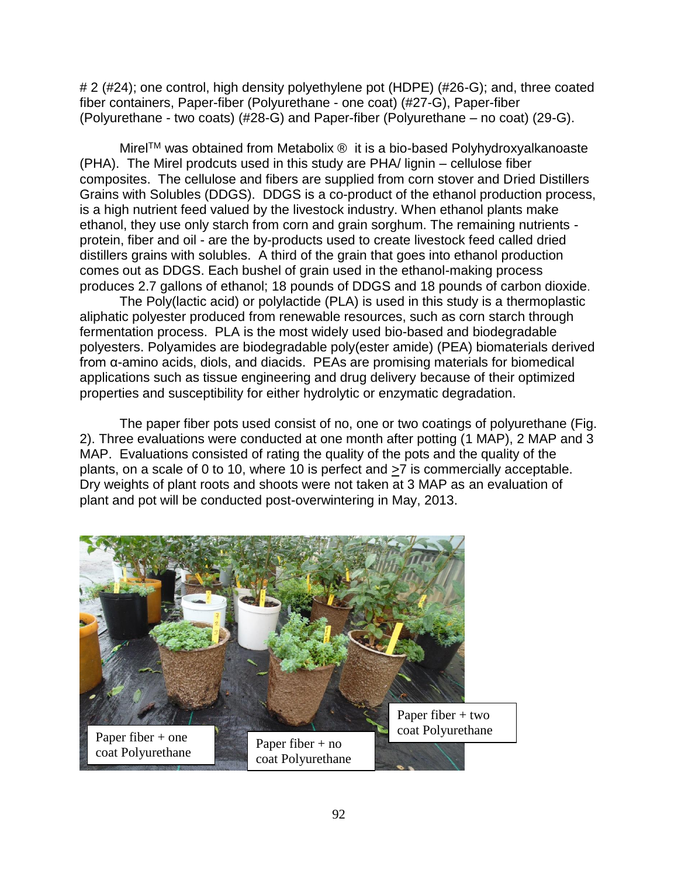# 2 (#24); one control, high density polyethylene pot (HDPE) (#26-G); and, three coated fiber containers, Paper-fiber (Polyurethane - one coat) (#27-G), Paper-fiber (Polyurethane - two coats) (#28-G) and Paper-fiber (Polyurethane – no coat) (29-G).

Mirel™ was obtained from Metabolix ® it is a bio-based Polyhydroxyalkanoaste (PHA). The Mirel prodcuts used in this study are PHA/ lignin – cellulose fiber composites. The cellulose and fibers are supplied from corn stover and Dried Distillers Grains with Solubles (DDGS). DDGS is a co-product of the ethanol production process, is a high nutrient feed valued by the livestock industry. When ethanol plants make ethanol, they use only starch from corn and grain sorghum. The remaining nutrients protein, fiber and oil - are the by-products used to create livestock feed called dried distillers grains with solubles. A third of the grain that goes into ethanol production comes out as DDGS. Each bushel of grain used in the ethanol-making process produces 2.7 gallons of ethanol; 18 pounds of DDGS and 18 pounds of carbon dioxide.

The Poly(lactic acid) or polylactide (PLA) is used in this study is a thermoplastic aliphatic polyester produced from renewable resources, such as corn starch through fermentation process. PLA is the most widely used bio-based and biodegradable polyesters. Polyamides are biodegradable poly(ester amide) (PEA) biomaterials derived from α-amino acids, diols, and diacids. PEAs are promising materials for biomedical applications such as tissue engineering and drug delivery because of their optimized properties and susceptibility for either hydrolytic or enzymatic degradation.

The paper fiber pots used consist of no, one or two coatings of polyurethane (Fig. 2). Three evaluations were conducted at one month after potting (1 MAP), 2 MAP and 3 MAP. Evaluations consisted of rating the quality of the pots and the quality of the plants, on a scale of 0 to 10, where 10 is perfect and >7 is commercially acceptable. Dry weights of plant roots and shoots were not taken at 3 MAP as an evaluation of plant and pot will be conducted post-overwintering in May, 2013.